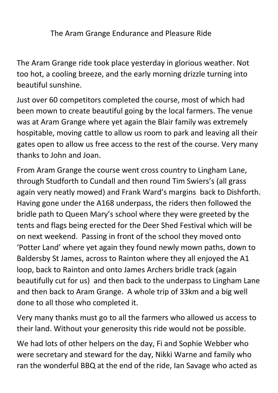The Aram Grange Endurance and Pleasure Ride

The Aram Grange ride took place yesterday in glorious weather. Not too hot, a cooling breeze, and the early morning drizzle turning into beautiful sunshine.

Just over 60 competitors completed the course, most of which had been mown to create beautiful going by the local farmers. The venue was at Aram Grange where yet again the Blair family was extremely hospitable, moving cattle to allow us room to park and leaving all their gates open to allow us free access to the rest of the course. Very many thanks to John and Joan.

From Aram Grange the course went cross country to Lingham Lane, through Studforth to Cundall and then round Tim Swiers's (all grass again very neatly mowed) and Frank Ward's margins back to Dishforth. Having gone under the A168 underpass, the riders then followed the bridle path to Queen Mary's school where they were greeted by the tents and flags being erected for the Deer Shed Festival which will be on next weekend. Passing in front of the school they moved onto 'Potter Land' where yet again they found newly mown paths, down to Baldersby St James, across to Rainton where they all enjoyed the A1 loop, back to Rainton and onto James Archers bridle track (again beautifully cut for us) and then back to the underpass to Lingham Lane and then back to Aram Grange. A whole trip of 33km and a big well done to all those who completed it.

Very many thanks must go to all the farmers who allowed us access to their land. Without your generosity this ride would not be possible.

We had lots of other helpers on the day, Fi and Sophie Webber who were secretary and steward for the day, Nikki Warne and family who ran the wonderful BBQ at the end of the ride, Ian Savage who acted as